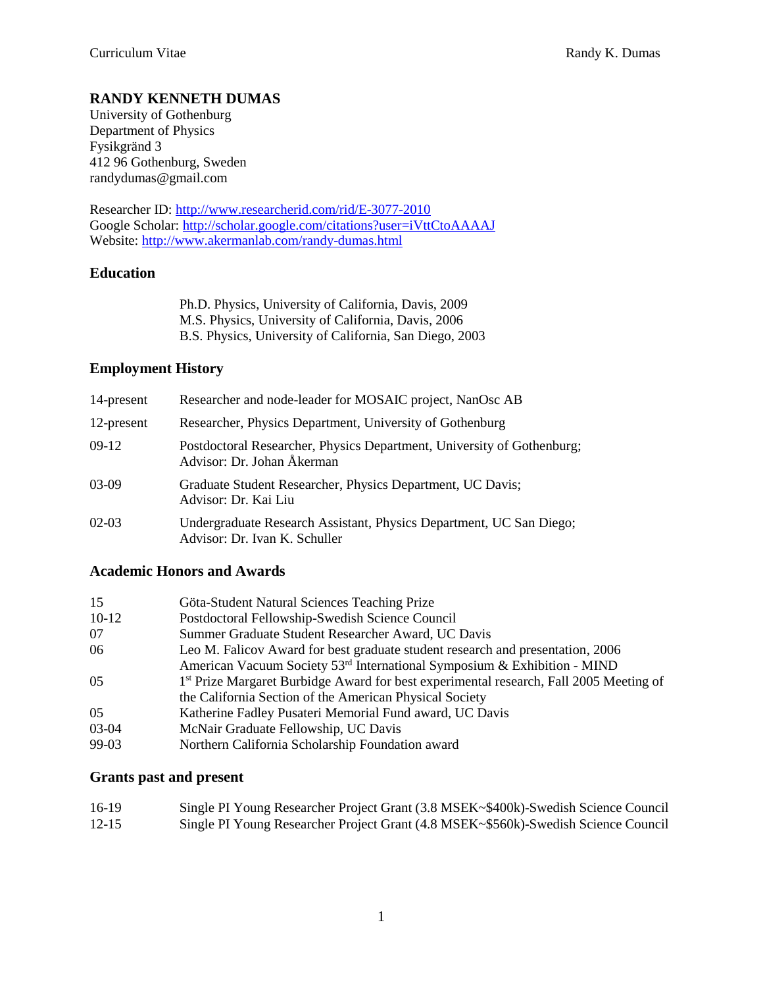# **RANDY KENNETH DUMAS**

University of Gothenburg Department of Physics Fysikgränd 3 412 96 Gothenburg, Sweden randydumas@gmail.com

Researcher ID:<http://www.researcherid.com/rid/E-3077-2010> Google Scholar:<http://scholar.google.com/citations?user=iVttCtoAAAAJ> Website:<http://www.akermanlab.com/randy-dumas.html>

## **Education**

Ph.D. Physics, University of California, Davis, 2009 M.S. Physics, University of California, Davis, 2006 B.S. Physics, University of California, San Diego, 2003

## **Employment History**

| 14-present | Researcher and node-leader for MOSAIC project, NanOsc AB                                             |
|------------|------------------------------------------------------------------------------------------------------|
| 12-present | Researcher, Physics Department, University of Gothenburg                                             |
| $09-12$    | Postdoctoral Researcher, Physics Department, University of Gothenburg;<br>Advisor: Dr. Johan Åkerman |
| 03-09      | Graduate Student Researcher, Physics Department, UC Davis;<br>Advisor: Dr. Kai Liu                   |
| $02-03$    | Undergraduate Research Assistant, Physics Department, UC San Diego;<br>Advisor: Dr. Ivan K. Schuller |

### **Academic Honors and Awards**

| 15      | Göta-Student Natural Sciences Teaching Prize                                                       |
|---------|----------------------------------------------------------------------------------------------------|
| $10-12$ | Postdoctoral Fellowship-Swedish Science Council                                                    |
| 07      | Summer Graduate Student Researcher Award, UC Davis                                                 |
| 06      | Leo M. Falicov Award for best graduate student research and presentation, 2006                     |
|         | American Vacuum Society 53 <sup>rd</sup> International Symposium & Exhibition - MIND               |
| 05      | 1 <sup>st</sup> Prize Margaret Burbidge Award for best experimental research, Fall 2005 Meeting of |
|         | the California Section of the American Physical Society                                            |
| 05      | Katherine Fadley Pusateri Memorial Fund award, UC Davis                                            |
| 03-04   | McNair Graduate Fellowship, UC Davis                                                               |
| 00. UJ  | Northorn Colifornia Scholarship Equadotion every                                                   |

#### 99-03 Northern California Scholarship Foundation award

### **Grants past and present**

| 16-19     | Single PI Young Researcher Project Grant (3.8 MSEK~\$400k)-Swedish Science Council |
|-----------|------------------------------------------------------------------------------------|
| $12 - 15$ | Single PI Young Researcher Project Grant (4.8 MSEK~\$560k)-Swedish Science Council |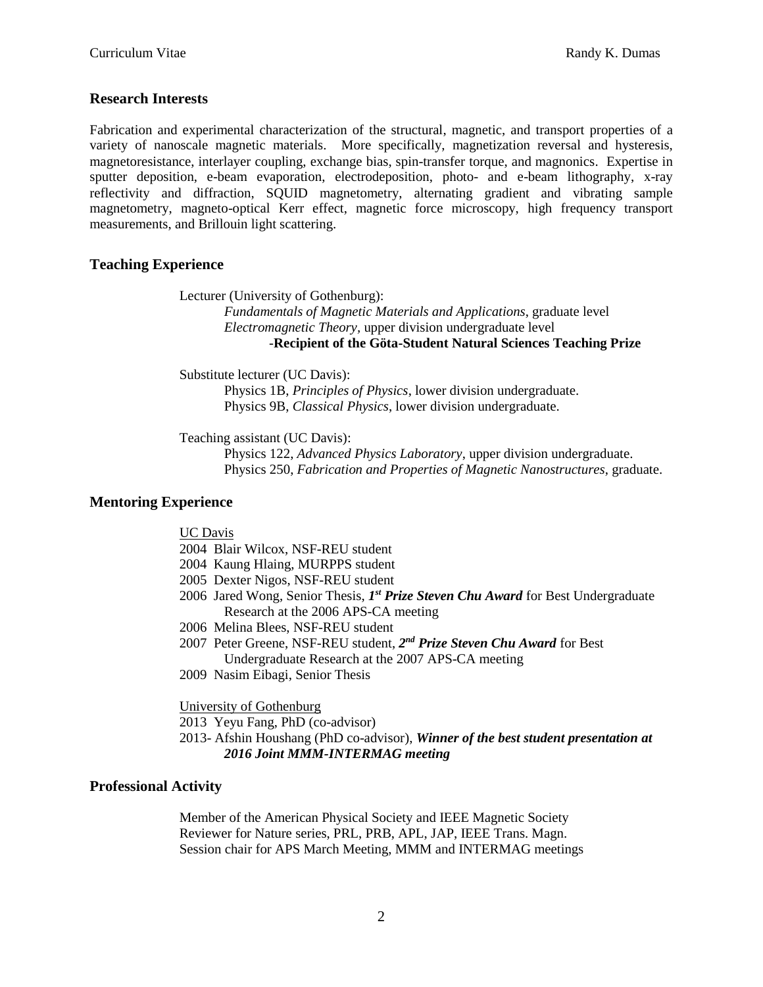### **Research Interests**

Fabrication and experimental characterization of the structural, magnetic, and transport properties of a variety of nanoscale magnetic materials. More specifically, magnetization reversal and hysteresis, magnetoresistance, interlayer coupling, exchange bias, spin-transfer torque, and magnonics. Expertise in sputter deposition, e-beam evaporation, electrodeposition, photo- and e-beam lithography, x-ray reflectivity and diffraction, SQUID magnetometry, alternating gradient and vibrating sample magnetometry, magneto-optical Kerr effect, magnetic force microscopy, high frequency transport measurements, and Brillouin light scattering.

### **Teaching Experience**

Lecturer (University of Gothenburg):

*Fundamentals of Magnetic Materials and Applications*, graduate level *Electromagnetic Theory,* upper division undergraduate level *-***Recipient of the Göta-Student Natural Sciences Teaching Prize**

Substitute lecturer (UC Davis): Physics 1B, *Principles of Physics*, lower division undergraduate. Physics 9B, *Classical Physics*, lower division undergraduate.

Teaching assistant (UC Davis):

Physics 122, *Advanced Physics Laboratory*, upper division undergraduate. Physics 250, *Fabrication and Properties of Magnetic Nanostructures*, graduate.

### **Mentoring Experience**

UC Davis

2004 Blair Wilcox, NSF-REU student

- 2004 Kaung Hlaing, MURPPS student
- 2005 Dexter Nigos, NSF-REU student
- 2006 Jared Wong, Senior Thesis, *I<sup>st</sup> Prize Steven Chu Award* for Best Undergraduate Research at the 2006 APS-CA meeting
- 2006 Melina Blees, NSF-REU student
- 2007 Peter Greene, NSF-REU student, *2 nd Prize Steven Chu Award* for Best Undergraduate Research at the 2007 APS-CA meeting
- 2009 Nasim Eibagi, Senior Thesis

University of Gothenburg

2013 Yeyu Fang, PhD (co-advisor)

2013- Afshin Houshang (PhD co-advisor), *Winner of the best student presentation at 2016 Joint MMM-INTERMAG meeting*

### **Professional Activity**

Member of the American Physical Society and IEEE Magnetic Society Reviewer for Nature series, PRL, PRB, APL, JAP, IEEE Trans. Magn. Session chair for APS March Meeting, MMM and INTERMAG meetings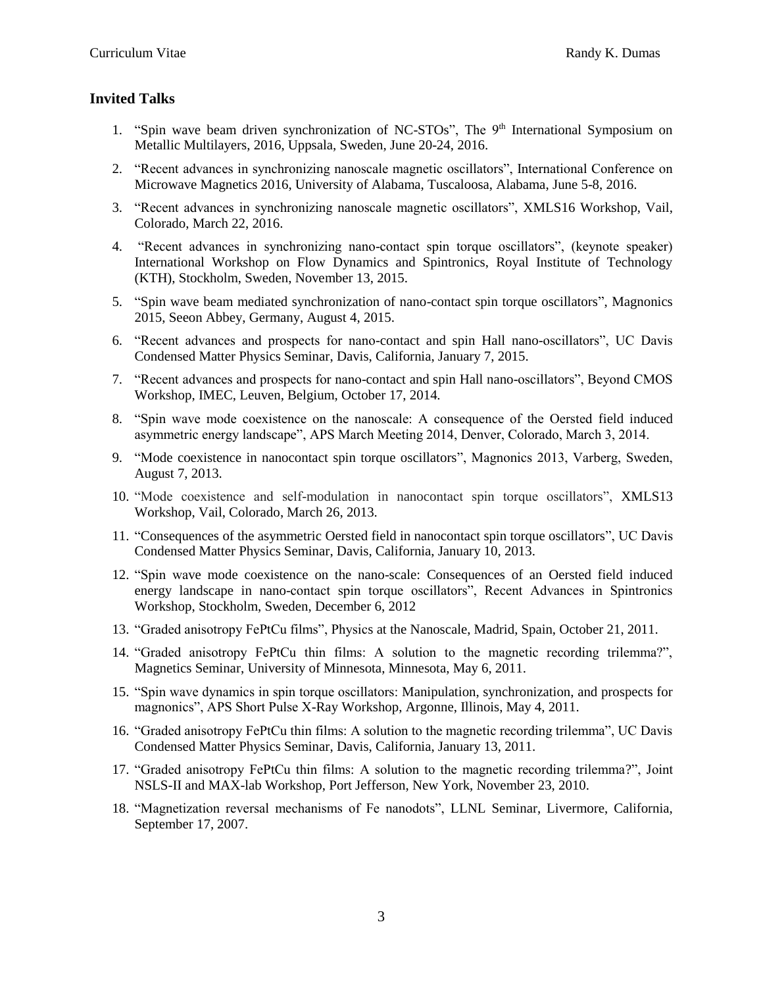## **Invited Talks**

- 1. "Spin wave beam driven synchronization of NC-STOs", The 9<sup>th</sup> International Symposium on Metallic Multilayers, 2016, Uppsala, Sweden, June 20-24, 2016.
- 2. "Recent advances in synchronizing nanoscale magnetic oscillators", International Conference on Microwave Magnetics 2016, University of Alabama, Tuscaloosa, Alabama, June 5-8, 2016.
- 3. "Recent advances in synchronizing nanoscale magnetic oscillators", XMLS16 Workshop, Vail, Colorado, March 22, 2016.
- 4. "Recent advances in synchronizing nano-contact spin torque oscillators", (keynote speaker) International Workshop on Flow Dynamics and Spintronics, Royal Institute of Technology (KTH), Stockholm, Sweden, November 13, 2015.
- 5. "Spin wave beam mediated synchronization of nano-contact spin torque oscillators", Magnonics 2015, Seeon Abbey, Germany, August 4, 2015.
- 6. "Recent advances and prospects for nano-contact and spin Hall nano-oscillators", UC Davis Condensed Matter Physics Seminar, Davis, California, January 7, 2015.
- 7. "Recent advances and prospects for nano-contact and spin Hall nano-oscillators", Beyond CMOS Workshop, IMEC, Leuven, Belgium, October 17, 2014.
- 8. "Spin wave mode coexistence on the nanoscale: A consequence of the Oersted field induced asymmetric energy landscape", APS March Meeting 2014, Denver, Colorado, March 3, 2014.
- 9. "Mode coexistence in nanocontact spin torque oscillators", Magnonics 2013, Varberg, Sweden, August 7, 2013.
- 10. "Mode coexistence and self-modulation in nanocontact spin torque oscillators", XMLS13 Workshop, Vail, Colorado, March 26, 2013.
- 11. "Consequences of the asymmetric Oersted field in nanocontact spin torque oscillators", UC Davis Condensed Matter Physics Seminar, Davis, California, January 10, 2013.
- 12. "Spin wave mode coexistence on the nano-scale: Consequences of an Oersted field induced energy landscape in nano-contact spin torque oscillators", Recent Advances in Spintronics Workshop, Stockholm, Sweden, December 6, 2012
- 13. "Graded anisotropy FePtCu films", Physics at the Nanoscale, Madrid, Spain, October 21, 2011.
- 14. "Graded anisotropy FePtCu thin films: A solution to the magnetic recording trilemma?", Magnetics Seminar, University of Minnesota, Minnesota, May 6, 2011.
- 15. "Spin wave dynamics in spin torque oscillators: Manipulation, synchronization, and prospects for magnonics", APS Short Pulse X-Ray Workshop, Argonne, Illinois, May 4, 2011.
- 16. "Graded anisotropy FePtCu thin films: A solution to the magnetic recording trilemma", UC Davis Condensed Matter Physics Seminar, Davis, California, January 13, 2011.
- 17. "Graded anisotropy FePtCu thin films: A solution to the magnetic recording trilemma?", Joint NSLS-II and MAX-lab Workshop, Port Jefferson, New York, November 23, 2010.
- 18. "Magnetization reversal mechanisms of Fe nanodots", LLNL Seminar, Livermore, California, September 17, 2007.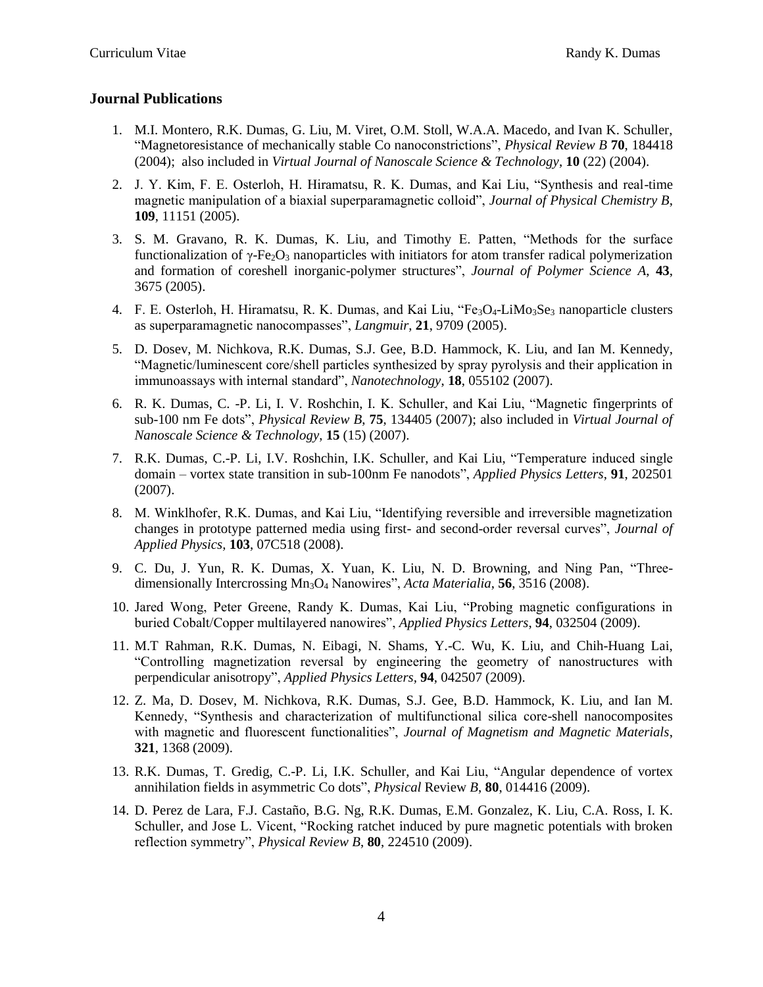## **Journal Publications**

- 1. M.I. Montero, R.K. Dumas, G. Liu, M. Viret, O.M. Stoll, W.A.A. Macedo, and Ivan K. Schuller, "Magnetoresistance of mechanically stable Co nanoconstrictions", *Physical Review B* **70**, 184418 (2004); also included in *Virtual Journal of Nanoscale Science & Technology*, **10** (22) (2004).
- 2. J. Y. Kim, F. E. Osterloh, H. Hiramatsu, R. K. Dumas, and Kai Liu, "Synthesis and real-time magnetic manipulation of a biaxial superparamagnetic colloid", *Journal of Physical Chemistry B*, **109**, 11151 (2005).
- 3. S. M. Gravano, R. K. Dumas, K. Liu, and Timothy E. Patten, "Methods for the surface functionalization of  $\gamma$ -Fe<sub>2</sub>O<sub>3</sub> nanoparticles with initiators for atom transfer radical polymerization and formation of coreshell inorganic-polymer structures", *Journal of Polymer Science A*, **43**, 3675 (2005).
- 4. F. E. Osterloh, H. Hiramatsu, R. K. Dumas, and Kai Liu, "Fe<sub>3</sub>O<sub>4</sub>-LiMo<sub>3</sub>Se<sub>3</sub> nanoparticle clusters as superparamagnetic nanocompasses", *Langmuir*, **21**, 9709 (2005).
- 5. D. Dosev, M. Nichkova, R.K. Dumas, S.J. Gee, B.D. Hammock, K. Liu, and Ian M. Kennedy, "Magnetic/luminescent core/shell particles synthesized by spray pyrolysis and their application in immunoassays with internal standard", *Nanotechnology*, **18**, 055102 (2007).
- 6. R. K. Dumas, C. -P. Li, I. V. Roshchin, I. K. Schuller, and Kai Liu, "Magnetic fingerprints of sub-100 nm Fe dots", *Physical Review B*, **75**, 134405 (2007); also included in *Virtual Journal of Nanoscale Science & Technology*, **15** (15) (2007).
- 7. R.K. Dumas, C.-P. Li, I.V. Roshchin, I.K. Schuller, and Kai Liu, "Temperature induced single domain – vortex state transition in sub-100nm Fe nanodots", *Applied Physics Letters*, **91**, 202501 (2007).
- 8. M. Winklhofer, R.K. Dumas, and Kai Liu, "Identifying reversible and irreversible magnetization changes in prototype patterned media using first- and second-order reversal curves", *Journal of Applied Physics,* **103**, 07C518 (2008).
- 9. C. Du, J. Yun, R. K. Dumas, X. Yuan, K. Liu, N. D. Browning, and Ning Pan, "Threedimensionally Intercrossing Mn3O<sup>4</sup> Nanowires", *Acta Materialia*, **56**, 3516 (2008).
- 10. Jared Wong, Peter Greene, Randy K. Dumas, Kai Liu, "Probing magnetic configurations in buried Cobalt/Copper multilayered nanowires", *Applied Physics Letters*, **94**, 032504 (2009).
- 11. M.T Rahman, R.K. Dumas, N. Eibagi, N. Shams, Y.-C. Wu, K. Liu, and Chih-Huang Lai, "Controlling magnetization reversal by engineering the geometry of nanostructures with perpendicular anisotropy", *Applied Physics Letters,* **94**, 042507 (2009).
- 12. Z. Ma, D. Dosev, M. Nichkova, R.K. Dumas, S.J. Gee, B.D. Hammock, K. Liu, and Ian M. Kennedy, "Synthesis and characterization of multifunctional silica core-shell nanocomposites with magnetic and fluorescent functionalities", *Journal of Magnetism and Magnetic Materials*, **321**, 1368 (2009).
- 13. R.K. Dumas, T. Gredig, C.-P. Li, I.K. Schuller, and Kai Liu, "Angular dependence of vortex annihilation fields in asymmetric Co dots", *Physical* Review *B*, **80**, 014416 (2009).
- 14. D. Perez de Lara, F.J. Castaño, B.G. Ng, R.K. Dumas, E.M. Gonzalez, K. Liu, C.A. Ross, I. K. Schuller, and Jose L. Vicent, "Rocking ratchet induced by pure magnetic potentials with broken reflection symmetry", *Physical Review B*, **80**, 224510 (2009).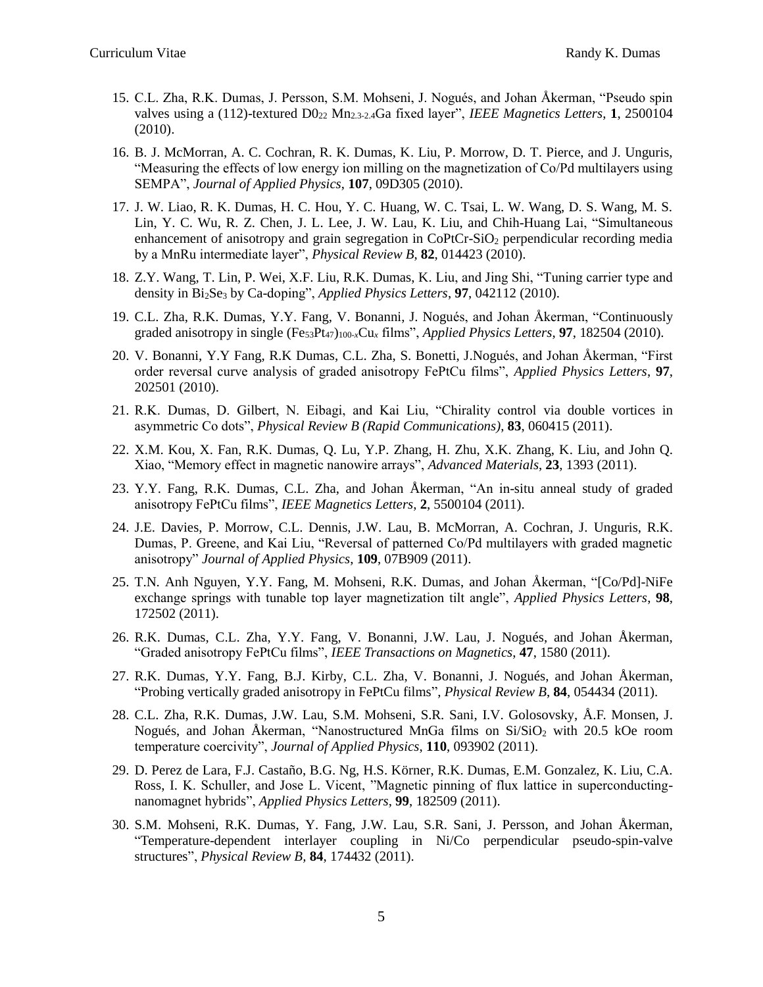- 15. C.L. Zha, R.K. Dumas, J. Persson, S.M. Mohseni, J. Nogués, and Johan Åkerman, "Pseudo spin valves using a (112)-textured D0<sup>22</sup> Mn2.3-2.4Ga fixed layer", *IEEE Magnetics Letters*, **1**, 2500104 (2010).
- 16. B. J. McMorran, A. C. Cochran, R. K. Dumas, K. Liu, P. Morrow, D. T. Pierce, and J. Unguris, "Measuring the effects of low energy ion milling on the magnetization of Co/Pd multilayers using SEMPA", *Journal of Applied Physics*, **107**, 09D305 (2010).
- 17. J. W. Liao, R. K. Dumas, H. C. Hou, Y. C. Huang, W. C. Tsai, L. W. Wang, D. S. Wang, M. S. Lin, Y. C. Wu, R. Z. Chen, J. L. Lee, J. W. Lau, K. Liu, and Chih-Huang Lai, "Simultaneous enhancement of anisotropy and grain segregation in CoPtCr-SiO<sub>2</sub> perpendicular recording media by a MnRu intermediate layer", *Physical Review B*, **82**, 014423 (2010).
- 18. Z.Y. Wang, T. Lin, P. Wei, X.F. Liu, R.K. Dumas, K. Liu, and Jing Shi, "Tuning carrier type and density in Bi2Se<sup>3</sup> by Ca-doping", *Applied Physics Letters*, **97**, 042112 (2010).
- 19. C.L. Zha, R.K. Dumas, Y.Y. Fang, V. Bonanni, J. Nogués, and Johan Åkerman, "Continuously graded anisotropy in single (Fe<sub>53</sub>Pt<sub>47)100-x</sub>Cu<sub>x</sub> films", *Applied Physics Letters*, **97**, 182504 (2010).
- 20. V. Bonanni, Y.Y Fang, R.K Dumas, C.L. Zha, S. Bonetti, J.Nogués, and Johan Åkerman, "First order reversal curve analysis of graded anisotropy FePtCu films", *Applied Physics Letters*, **97**, 202501 (2010).
- 21. R.K. Dumas, D. Gilbert, N. Eibagi, and Kai Liu, "Chirality control via double vortices in asymmetric Co dots", *Physical Review B (Rapid Communications)*, **83**, 060415 (2011).
- 22. X.M. Kou, X. Fan, R.K. Dumas, Q. Lu, Y.P. Zhang, H. Zhu, X.K. Zhang, K. Liu, and John Q. Xiao, "Memory effect in magnetic nanowire arrays", *Advanced Materials*, **23**, 1393 (2011).
- 23. Y.Y. Fang, R.K. Dumas, C.L. Zha, and Johan Åkerman, "An in-situ anneal study of graded anisotropy FePtCu films", *IEEE Magnetics Letters*, **2**, 5500104 (2011).
- 24. J.E. Davies, P. Morrow, C.L. Dennis, J.W. Lau, B. McMorran, A. Cochran, J. Unguris, R.K. Dumas, P. Greene, and Kai Liu, "Reversal of patterned Co/Pd multilayers with graded magnetic anisotropy" *Journal of Applied Physics*, **109**, 07B909 (2011).
- 25. T.N. Anh Nguyen, Y.Y. Fang, M. Mohseni, R.K. Dumas, and Johan Åkerman, "[Co/Pd]-NiFe exchange springs with tunable top layer magnetization tilt angle", *Applied Physics Letters*, **98**, 172502 (2011).
- 26. R.K. Dumas, C.L. Zha, Y.Y. Fang, V. Bonanni, J.W. Lau, J. Nogués, and Johan Åkerman, "Graded anisotropy FePtCu films", *IEEE Transactions on Magnetics*, **47**, 1580 (2011).
- 27. R.K. Dumas, Y.Y. Fang, B.J. Kirby, C.L. Zha, V. Bonanni, J. Nogués, and Johan Åkerman, "Probing vertically graded anisotropy in FePtCu films", *Physical Review B*, **84**, 054434 (2011).
- 28. C.L. Zha, R.K. Dumas, J.W. Lau, S.M. Mohseni, S.R. Sani, I.V. Golosovsky, Å.F. Monsen, J. Nogués, and Johan Åkerman, "Nanostructured MnGa films on Si/SiO<sup>2</sup> with 20.5 kOe room temperature coercivity", *Journal of Applied Physics*, **110**, 093902 (2011).
- 29. D. Perez de Lara, F.J. Castaño, B.G. Ng, H.S. Körner, R.K. Dumas, E.M. Gonzalez, K. Liu, C.A. Ross, I. K. Schuller, and Jose L. Vicent, "Magnetic pinning of flux lattice in superconductingnanomagnet hybrids", *Applied Physics Letters*, **99**, 182509 (2011).
- 30. S.M. Mohseni, R.K. Dumas, Y. Fang, J.W. Lau, S.R. Sani, J. Persson, and Johan Åkerman, "Temperature-dependent interlayer coupling in Ni/Co perpendicular pseudo-spin-valve structures", *Physical Review B,* **84**, 174432 (2011).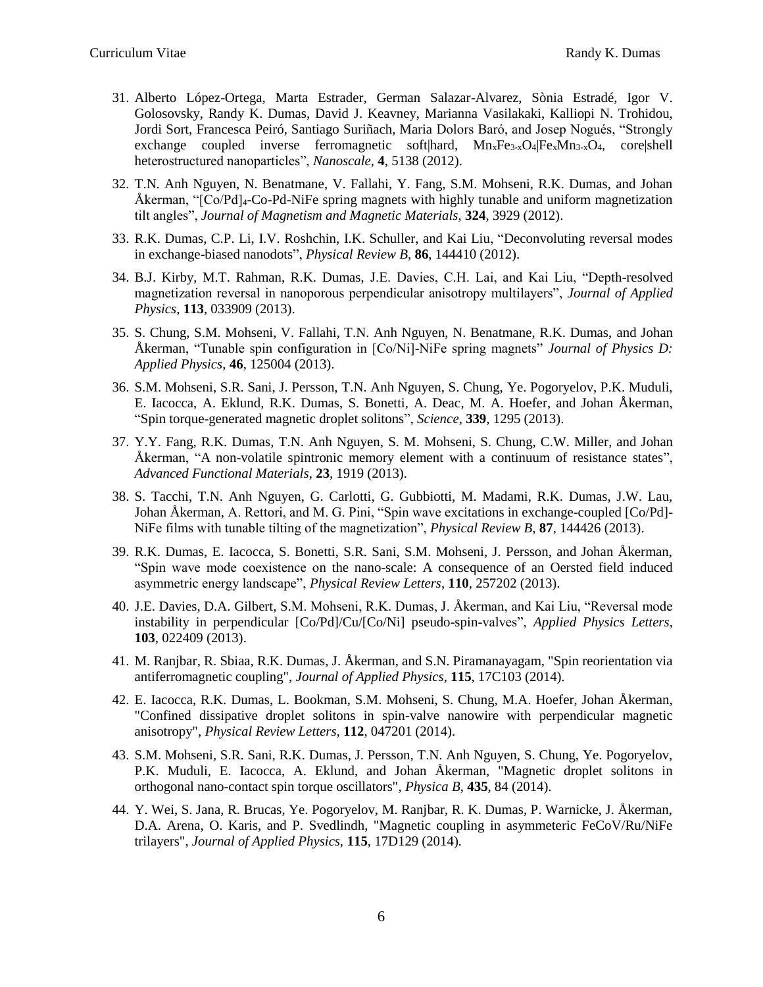- 31. Alberto López-Ortega, Marta Estrader, German Salazar-Alvarez, Sònia Estradé, Igor V. Golosovsky, Randy K. Dumas, David J. Keavney, Marianna Vasilakaki, Kalliopi N. Trohidou, Jordi Sort, Francesca Peiró, Santiago Suriñach, Maria Dolors Baró, and Josep Nogués, "Strongly exchange coupled inverse ferromagnetic soft|hard,  $Mn_xFe_{3-x}O_4/Fe_xMn_{3-x}O_4$ , core|shell heterostructured nanoparticles", *Nanoscale*, **4**, 5138 (2012).
- 32. T.N. Anh Nguyen, N. Benatmane, V. Fallahi, Y. Fang, S.M. Mohseni, R.K. Dumas, and Johan Åkerman, "[Co/Pd]<sub>4</sub>-Co-Pd-NiFe spring magnets with highly tunable and uniform magnetization tilt angles", *Journal of Magnetism and Magnetic Materials*, **324**, 3929 (2012).
- 33. R.K. Dumas, C.P. Li, I.V. Roshchin, I.K. Schuller, and Kai Liu, "Deconvoluting reversal modes in exchange-biased nanodots", *Physical Review B*, **86**, 144410 (2012).
- 34. B.J. Kirby, M.T. Rahman, R.K. Dumas, J.E. Davies, C.H. Lai, and Kai Liu, "Depth-resolved magnetization reversal in nanoporous perpendicular anisotropy multilayers", *Journal of Applied Physics*, **113**, 033909 (2013).
- 35. S. Chung, S.M. Mohseni, V. Fallahi, T.N. Anh Nguyen, N. Benatmane, R.K. Dumas, and Johan Åkerman, "Tunable spin configuration in [Co/Ni]-NiFe spring magnets" *Journal of Physics D: Applied Physics*, **46**, 125004 (2013).
- 36. S.M. Mohseni, S.R. Sani, J. Persson, T.N. Anh Nguyen, S. Chung, Ye. Pogoryelov, P.K. Muduli, E. Iacocca, A. Eklund, R.K. Dumas, S. Bonetti, A. Deac, M. A. Hoefer, and Johan Åkerman, "Spin torque-generated magnetic droplet solitons", *Science*, **339**, 1295 (2013).
- 37. Y.Y. Fang, R.K. Dumas, T.N. Anh Nguyen, S. M. Mohseni, S. Chung, C.W. Miller, and Johan Åkerman, "A non-volatile spintronic memory element with a continuum of resistance states", *Advanced Functional Materials*, **23**, 1919 (2013).
- 38. S. Tacchi, T.N. Anh Nguyen, G. Carlotti, G. Gubbiotti, M. Madami, R.K. Dumas, J.W. Lau, Johan Åkerman, A. Rettori, and M. G. Pini, "Spin wave excitations in exchange-coupled [Co/Pd]- NiFe films with tunable tilting of the magnetization", *Physical Review B*, **87**, 144426 (2013).
- 39. R.K. Dumas, E. Iacocca, S. Bonetti, S.R. Sani, S.M. Mohseni, J. Persson, and Johan Åkerman, "Spin wave mode coexistence on the nano-scale: A consequence of an Oersted field induced asymmetric energy landscape", *Physical Review Letters*, **110**, 257202 (2013).
- 40. J.E. Davies, D.A. Gilbert, S.M. Mohseni, R.K. Dumas, J. Åkerman, and Kai Liu, "Reversal mode instability in perpendicular [Co/Pd]/Cu/[Co/Ni] pseudo-spin-valves", *Applied Physics Letters*, **103**, 022409 (2013).
- 41. M. Ranjbar, R. Sbiaa, R.K. Dumas, J. Åkerman, and S.N. Piramanayagam, "Spin reorientation via antiferromagnetic coupling", *Journal of Applied Physics,* **115**, 17C103 (2014)*.*
- 42. E. Iacocca, R.K. Dumas, L. Bookman, S.M. Mohseni, S. Chung, M.A. Hoefer, Johan Åkerman, "Confined dissipative droplet solitons in spin-valve nanowire with perpendicular magnetic anisotropy", *Physical Review Letters,* **112**, 047201 (2014).
- 43. S.M. Mohseni, S.R. Sani, R.K. Dumas, J. Persson, T.N. Anh Nguyen, S. Chung, Ye. Pogoryelov, P.K. Muduli, E. Iacocca, A. Eklund, and Johan Åkerman, "Magnetic droplet solitons in orthogonal nano-contact spin torque oscillators"*, Physica B*, **435**, 84 (2014)*.*
- 44. Y. Wei, S. Jana, R. Brucas, Ye. Pogoryelov, M. Ranjbar, R. K. Dumas, P. Warnicke, J. Åkerman, D.A. Arena, O. Karis, and P. Svedlindh, "Magnetic coupling in asymmeteric FeCoV/Ru/NiFe trilayers", *Journal of Applied Physics,* **115**, 17D129 (2014)*.*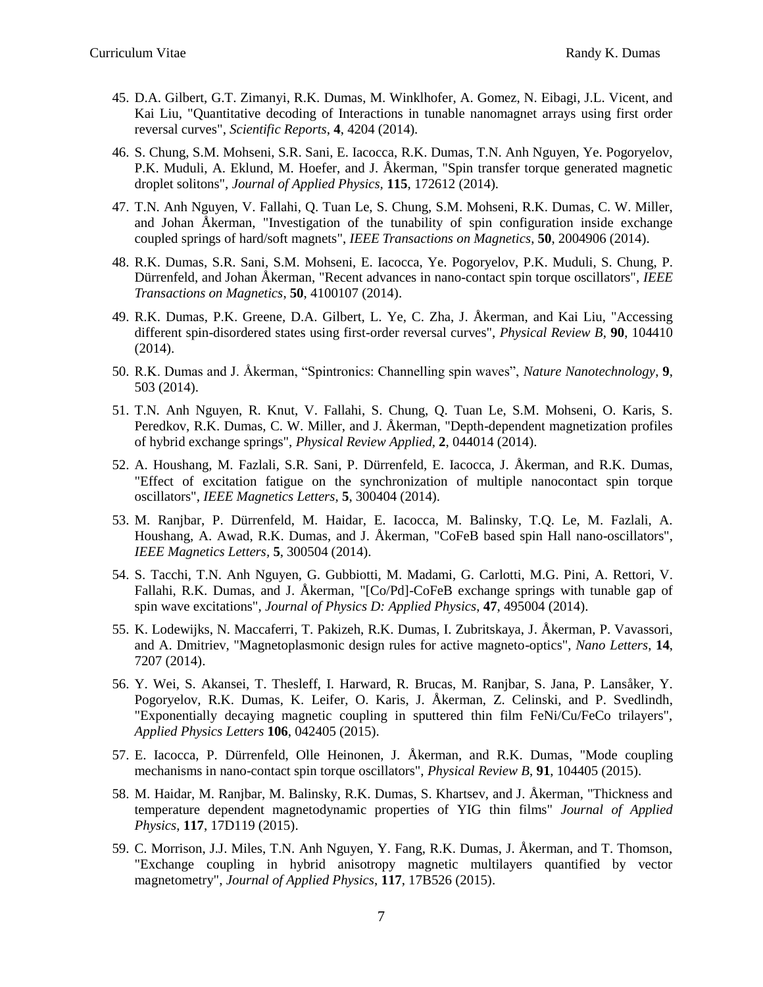- 45. D.A. Gilbert, G.T. Zimanyi, R.K. Dumas, M. Winklhofer, A. Gomez, N. Eibagi, J.L. Vicent, and Kai Liu, "Quantitative decoding of Interactions in tunable nanomagnet arrays using first order reversal curves", *Scientific Reports*, **4**, 4204 (2014)*.*
- 46. S. Chung, S.M. Mohseni, S.R. Sani, E. Iacocca, R.K. Dumas, T.N. Anh Nguyen, Ye. Pogoryelov, P.K. Muduli, A. Eklund, M. Hoefer, and J. Åkerman, "Spin transfer torque generated magnetic droplet solitons", *Journal of Applied Physics,* **115**, 172612 (2014)*.*
- 47. T.N. Anh Nguyen, V. Fallahi, Q. Tuan Le, S. Chung, S.M. Mohseni, R.K. Dumas, C. W. Miller, and Johan Åkerman, "Investigation of the tunability of spin configuration inside exchange coupled springs of hard/soft magnets", *IEEE Transactions on Magnetics*, **50**, 2004906 (2014).
- 48. R.K. Dumas, S.R. Sani, S.M. Mohseni, E. Iacocca, Ye. Pogoryelov, P.K. Muduli, S. Chung, P. Dürrenfeld, and Johan Åkerman, "Recent advances in nano-contact spin torque oscillators", *IEEE Transactions on Magnetics*, **50**, 4100107 (2014).
- 49. R.K. Dumas, P.K. Greene, D.A. Gilbert, L. Ye, C. Zha, J. Åkerman, and Kai Liu, "Accessing different spin-disordered states using first-order reversal curves", *Physical Review B*, **90**, 104410 (2014).
- 50. R.K. Dumas and J. Åkerman, "Spintronics: Channelling spin waves", *Nature Nanotechnology*, **9**, 503 (2014).
- 51. T.N. Anh Nguyen, R. Knut, V. Fallahi, S. Chung, Q. Tuan Le, S.M. Mohseni, O. Karis, S. Peredkov, R.K. Dumas, C. W. Miller, and J. Åkerman, "Depth-dependent magnetization profiles of hybrid exchange springs", *Physical Review Applied*, **2**, 044014 (2014).
- 52. A. Houshang, M. Fazlali, S.R. Sani, P. Dürrenfeld, E. Iacocca, J. Åkerman, and R.K. Dumas, "Effect of excitation fatigue on the synchronization of multiple nanocontact spin torque oscillators", *IEEE Magnetics Letters*, **5**, 300404 (2014).
- 53. M. Ranjbar, P. Dürrenfeld, M. Haidar, E. Iacocca, M. Balinsky, T.Q. Le, M. Fazlali, A. Houshang, A. Awad, R.K. Dumas, and J. Åkerman, "CoFeB based spin Hall nano-oscillators", *IEEE Magnetics Letters,* **5**, 300504 (2014).
- 54. S. Tacchi, T.N. Anh Nguyen, G. Gubbiotti, M. Madami, G. Carlotti, M.G. Pini, A. Rettori, V. Fallahi, R.K. Dumas, and J. Åkerman, "[Co/Pd]-CoFeB exchange springs with tunable gap of spin wave excitations", *Journal of Physics D: Applied Physics*, **47**, 495004 (2014).
- 55. K. Lodewijks, N. Maccaferri, T. Pakizeh, R.K. Dumas, I. Zubritskaya, J. Åkerman, P. Vavassori, and A. Dmitriev, "Magnetoplasmonic design rules for active magneto-optics", *Nano Letters*, **14**, 7207 (2014).
- 56. Y. Wei, S. Akansei, T. Thesleff, I. Harward, R. Brucas, M. Ranjbar, S. Jana, P. Lansåker, Y. Pogoryelov, R.K. Dumas, K. Leifer, O. Karis, J. Åkerman, Z. Celinski, and P. Svedlindh, "Exponentially decaying magnetic coupling in sputtered thin film FeNi/Cu/FeCo trilayers", *Applied Physics Letters* **106**, 042405 (2015).
- 57. E. Iacocca, P. Dürrenfeld, Olle Heinonen, J. Åkerman, and R.K. Dumas, "Mode coupling mechanisms in nano-contact spin torque oscillators", *Physical Review B*, **91**, 104405 (2015).
- 58. M. Haidar, M. Ranjbar, M. Balinsky, R.K. Dumas, S. Khartsev, and J. Åkerman, "Thickness and temperature dependent magnetodynamic properties of YIG thin films" *Journal of Applied Physics*, **117**, 17D119 (2015).
- 59. C. Morrison, J.J. Miles, T.N. Anh Nguyen, Y. Fang, R.K. Dumas, J. Åkerman, and T. Thomson, "Exchange coupling in hybrid anisotropy magnetic multilayers quantified by vector magnetometry", *Journal of Applied Physics*, **117**, 17B526 (2015).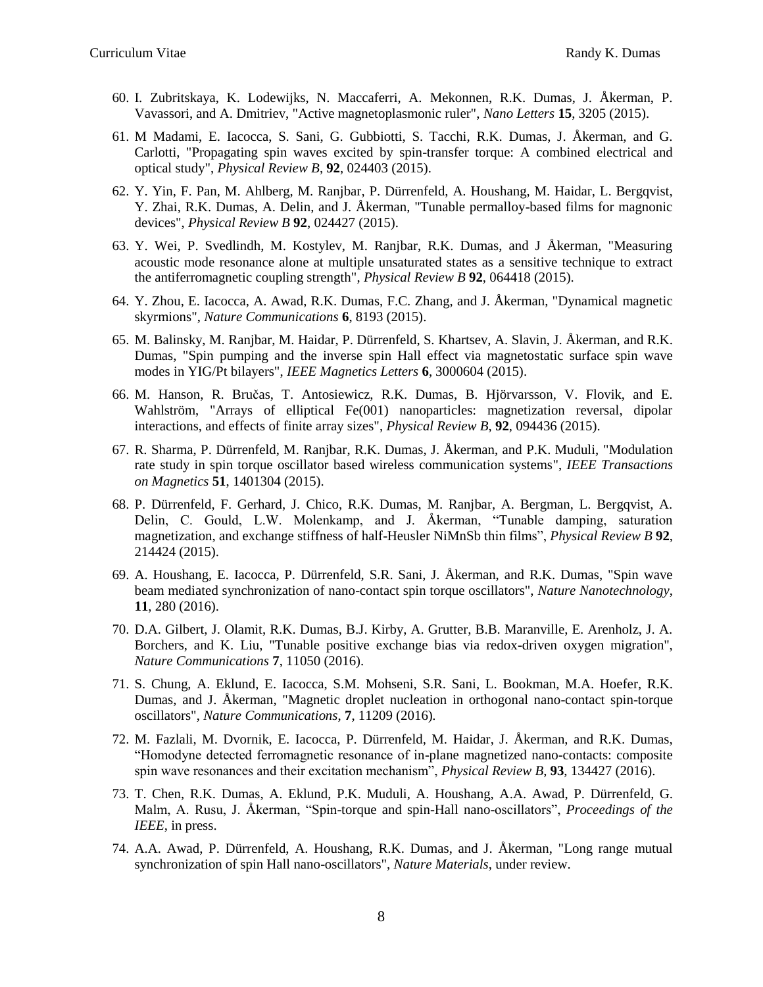- 60. I. Zubritskaya, K. Lodewijks, N. Maccaferri, A. Mekonnen, R.K. Dumas, J. Åkerman, P. Vavassori, and A. Dmitriev, "Active magnetoplasmonic ruler", *Nano Letters* **15**, 3205 (2015).
- 61. M Madami, E. Iacocca, S. Sani, G. Gubbiotti, S. Tacchi, R.K. Dumas, J. Åkerman, and G. Carlotti, "Propagating spin waves excited by spin-transfer torque: A combined electrical and optical study", *Physical Review B*, **92**, 024403 (2015).
- 62. Y. Yin, F. Pan, M. Ahlberg, M. Ranjbar, P. Dürrenfeld, A. Houshang, M. Haidar, L. Bergqvist, Y. Zhai, R.K. Dumas, A. Delin, and J. Åkerman, "Tunable permalloy-based films for magnonic devices", *Physical Review B* **92**, 024427 (2015).
- 63. Y. Wei, P. Svedlindh, M. Kostylev, M. Ranjbar, R.K. Dumas, and J Åkerman, "Measuring acoustic mode resonance alone at multiple unsaturated states as a sensitive technique to extract the antiferromagnetic coupling strength", *Physical Review B* **92**, 064418 (2015).
- 64. Y. Zhou, E. Iacocca, A. Awad, R.K. Dumas, F.C. Zhang, and J. Åkerman, "Dynamical magnetic skyrmions", *Nature Communications* **6**, 8193 (2015).
- 65. M. Balinsky, M. Ranjbar, M. Haidar, P. Dürrenfeld, S. Khartsev, A. Slavin, J. Åkerman, and R.K. Dumas, "Spin pumping and the inverse spin Hall effect via magnetostatic surface spin wave modes in YIG/Pt bilayers", *IEEE Magnetics Letters* **6**, 3000604 (2015).
- 66. M. Hanson, R. Bručas, T. Antosiewicz, R.K. Dumas, B. Hjörvarsson, V. Flovik, and E. Wahlström, "Arrays of elliptical Fe(001) nanoparticles: magnetization reversal, dipolar interactions, and effects of finite array sizes", *Physical Review B*, **92**, 094436 (2015).
- 67. R. Sharma, P. Dürrenfeld, M. Ranjbar, R.K. Dumas, J. Åkerman, and P.K. Muduli, "Modulation rate study in spin torque oscillator based wireless communication systems", *IEEE Transactions on Magnetics* **51**, 1401304 (2015).
- 68. P. Dürrenfeld, F. Gerhard, J. Chico, R.K. Dumas, M. Ranjbar, A. Bergman, L. Bergqvist, A. Delin, C. Gould, L.W. Molenkamp, and J. Åkerman, "Tunable damping, saturation magnetization, and exchange stiffness of half-Heusler NiMnSb thin films", *Physical Review B* **92**, 214424 (2015).
- 69. A. Houshang, E. Iacocca, P. Dürrenfeld, S.R. Sani, J. Åkerman, and R.K. Dumas, "Spin wave beam mediated synchronization of nano-contact spin torque oscillators", *Nature Nanotechnology*, **11**, 280 (2016).
- 70. D.A. Gilbert, J. Olamit, R.K. Dumas, B.J. Kirby, A. Grutter, B.B. Maranville, E. Arenholz, J. A. Borchers, and K. Liu, "Tunable positive exchange bias via redox-driven oxygen migration", *Nature Communications* **7**, 11050 (2016).
- 71. S. Chung, A. Eklund, E. Iacocca, S.M. Mohseni, S.R. Sani, L. Bookman, M.A. Hoefer, R.K. Dumas, and J. Åkerman, "Magnetic droplet nucleation in orthogonal nano-contact spin-torque oscillators", *Nature Communications*, **7**, 11209 (2016)*.*
- 72. M. Fazlali, M. Dvornik, E. Iacocca, P. Dürrenfeld, M. Haidar, J. Åkerman, and R.K. Dumas, "Homodyne detected ferromagnetic resonance of in-plane magnetized nano-contacts: composite spin wave resonances and their excitation mechanism", *Physical Review B*, **93**, 134427 (2016).
- 73. T. Chen, R.K. Dumas, A. Eklund, P.K. Muduli, A. Houshang, A.A. Awad, P. Dürrenfeld, G. Malm, A. Rusu, J. Åkerman, "Spin-torque and spin-Hall nano-oscillators", *Proceedings of the IEEE*, in press.
- 74. A.A. Awad, P. Dürrenfeld, A. Houshang, R.K. Dumas, and J. Åkerman, "Long range mutual synchronization of spin Hall nano-oscillators", *Nature Materials*, under review.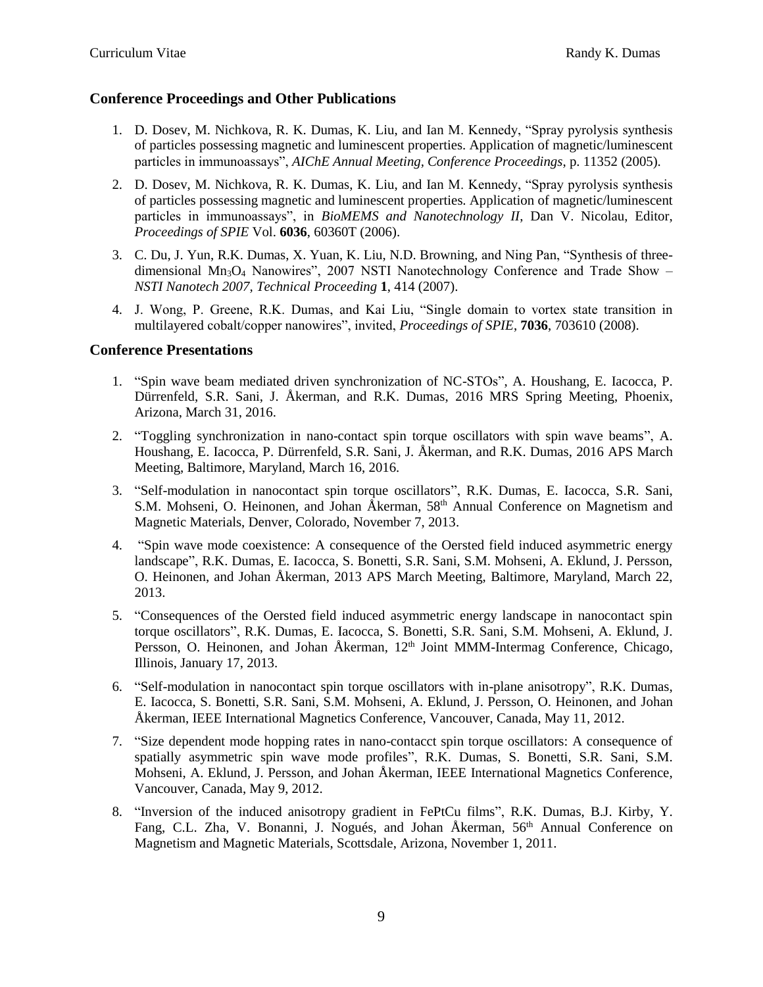## **Conference Proceedings and Other Publications**

- 1. D. Dosev, M. Nichkova, R. K. Dumas, K. Liu, and Ian M. Kennedy, "Spray pyrolysis synthesis of particles possessing magnetic and luminescent properties. Application of magnetic/luminescent particles in immunoassays", *AIChE Annual Meeting, Conference Proceedings*, p. 11352 (2005).
- 2. D. Dosev, M. Nichkova, R. K. Dumas, K. Liu, and Ian M. Kennedy, "Spray pyrolysis synthesis of particles possessing magnetic and luminescent properties. Application of magnetic/luminescent particles in immunoassays", in *BioMEMS and Nanotechnology II*, Dan V. Nicolau, Editor, *Proceedings of SPIE* Vol. **6036**, 60360T (2006).
- 3. C. Du, J. Yun, R.K. Dumas, X. Yuan, K. Liu, N.D. Browning, and Ning Pan, "Synthesis of threedimensional  $Mn_3O_4$  Nanowires", 2007 NSTI Nanotechnology Conference and Trade Show – *NSTI Nanotech 2007, Technical Proceeding* **1**, 414 (2007).
- 4. J. Wong, P. Greene, R.K. Dumas, and Kai Liu, "Single domain to vortex state transition in multilayered cobalt/copper nanowires", invited, *Proceedings of SPIE*, **7036**, 703610 (2008).

## **Conference Presentations**

- 1. "Spin wave beam mediated driven synchronization of NC-STOs", A. Houshang, E. Iacocca, P. Dürrenfeld, S.R. Sani, J. Åkerman, and R.K. Dumas, 2016 MRS Spring Meeting, Phoenix, Arizona, March 31, 2016.
- 2. "Toggling synchronization in nano-contact spin torque oscillators with spin wave beams", A. Houshang, E. Iacocca, P. Dürrenfeld, S.R. Sani, J. Åkerman, and R.K. Dumas, 2016 APS March Meeting, Baltimore, Maryland, March 16, 2016.
- 3. "Self-modulation in nanocontact spin torque oscillators", R.K. Dumas, E. Iacocca, S.R. Sani, S.M. Mohseni, O. Heinonen, and Johan Åkerman, 58<sup>th</sup> Annual Conference on Magnetism and Magnetic Materials, Denver, Colorado, November 7, 2013.
- 4. "Spin wave mode coexistence: A consequence of the Oersted field induced asymmetric energy landscape", R.K. Dumas, E. Iacocca, S. Bonetti, S.R. Sani, S.M. Mohseni, A. Eklund, J. Persson, O. Heinonen, and Johan Åkerman, 2013 APS March Meeting, Baltimore, Maryland, March 22, 2013.
- 5. "Consequences of the Oersted field induced asymmetric energy landscape in nanocontact spin torque oscillators", R.K. Dumas, E. Iacocca, S. Bonetti, S.R. Sani, S.M. Mohseni, A. Eklund, J. Persson, O. Heinonen, and Johan Åkerman, 12<sup>th</sup> Joint MMM-Intermag Conference, Chicago, Illinois, January 17, 2013.
- 6. "Self-modulation in nanocontact spin torque oscillators with in-plane anisotropy", R.K. Dumas, E. Iacocca, S. Bonetti, S.R. Sani, S.M. Mohseni, A. Eklund, J. Persson, O. Heinonen, and Johan Åkerman, IEEE International Magnetics Conference, Vancouver, Canada, May 11, 2012.
- 7. "Size dependent mode hopping rates in nano-contacct spin torque oscillators: A consequence of spatially asymmetric spin wave mode profiles", R.K. Dumas, S. Bonetti, S.R. Sani, S.M. Mohseni, A. Eklund, J. Persson, and Johan Åkerman, IEEE International Magnetics Conference, Vancouver, Canada, May 9, 2012.
- 8. "Inversion of the induced anisotropy gradient in FePtCu films", R.K. Dumas, B.J. Kirby, Y. Fang, C.L. Zha, V. Bonanni, J. Nogués, and Johan Åkerman, 56<sup>th</sup> Annual Conference on Magnetism and Magnetic Materials, Scottsdale, Arizona, November 1, 2011.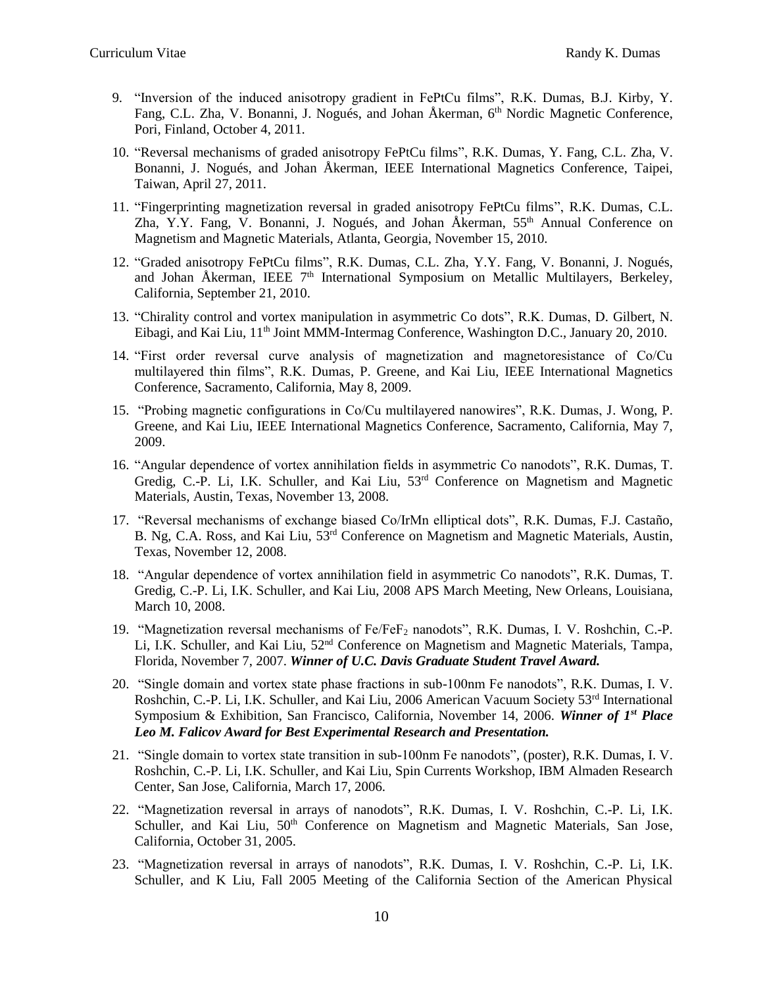- 9. "Inversion of the induced anisotropy gradient in FePtCu films", R.K. Dumas, B.J. Kirby, Y. Fang, C.L. Zha, V. Bonanni, J. Nogués, and Johan Åkerman, 6<sup>th</sup> Nordic Magnetic Conference, Pori, Finland, October 4, 2011.
- 10. "Reversal mechanisms of graded anisotropy FePtCu films", R.K. Dumas, Y. Fang, C.L. Zha, V. Bonanni, J. Nogués, and Johan Åkerman, IEEE International Magnetics Conference, Taipei, Taiwan, April 27, 2011.
- 11. "Fingerprinting magnetization reversal in graded anisotropy FePtCu films", R.K. Dumas, C.L. Zha, Y.Y. Fang, V. Bonanni, J. Nogués, and Johan Åkerman,  $55<sup>th</sup>$  Annual Conference on Magnetism and Magnetic Materials, Atlanta, Georgia, November 15, 2010.
- 12. "Graded anisotropy FePtCu films", R.K. Dumas, C.L. Zha, Y.Y. Fang, V. Bonanni, J. Nogués, and Johan Åkerman, IEEE  $7<sup>th</sup>$  International Symposium on Metallic Multilayers, Berkeley, California, September 21, 2010.
- 13. "Chirality control and vortex manipulation in asymmetric Co dots", R.K. Dumas, D. Gilbert, N. Eibagi, and Kai Liu, 11<sup>th</sup> Joint MMM-Intermag Conference, Washington D.C., January 20, 2010.
- 14. "First order reversal curve analysis of magnetization and magnetoresistance of Co/Cu multilayered thin films", R.K. Dumas, P. Greene, and Kai Liu, IEEE International Magnetics Conference, Sacramento, California, May 8, 2009.
- 15. "Probing magnetic configurations in Co/Cu multilayered nanowires", R.K. Dumas, J. Wong, P. Greene, and Kai Liu, IEEE International Magnetics Conference, Sacramento, California, May 7, 2009.
- 16. "Angular dependence of vortex annihilation fields in asymmetric Co nanodots", R.K. Dumas, T. Gredig, C.-P. Li, I.K. Schuller, and Kai Liu,  $53<sup>rd</sup>$  Conference on Magnetism and Magnetic Materials, Austin, Texas, November 13, 2008.
- 17. "Reversal mechanisms of exchange biased Co/IrMn elliptical dots", R.K. Dumas, F.J. Castaño, B. Ng, C.A. Ross, and Kai Liu, 53rd Conference on Magnetism and Magnetic Materials, Austin, Texas, November 12, 2008.
- 18. "Angular dependence of vortex annihilation field in asymmetric Co nanodots", R.K. Dumas, T. Gredig, C.-P. Li, I.K. Schuller, and Kai Liu, 2008 APS March Meeting, New Orleans, Louisiana, March 10, 2008.
- 19. "Magnetization reversal mechanisms of Fe/FeF<sup>2</sup> nanodots", R.K. Dumas, I. V. Roshchin, C.-P. Li, I.K. Schuller, and Kai Liu, 52<sup>nd</sup> Conference on Magnetism and Magnetic Materials, Tampa, Florida, November 7, 2007. *Winner of U.C. Davis Graduate Student Travel Award.*
- 20. "Single domain and vortex state phase fractions in sub-100nm Fe nanodots", R.K. Dumas, I. V. Roshchin, C.-P. Li, I.K. Schuller, and Kai Liu, 2006 American Vacuum Society  $53<sup>rd</sup>$  International Symposium & Exhibition, San Francisco, California, November 14, 2006. *Winner of 1st Place Leo M. Falicov Award for Best Experimental Research and Presentation.*
- 21. "Single domain to vortex state transition in sub-100nm Fe nanodots", (poster), R.K. Dumas, I. V. Roshchin, C.-P. Li, I.K. Schuller, and Kai Liu, Spin Currents Workshop, IBM Almaden Research Center, San Jose, California, March 17, 2006.
- 22. "Magnetization reversal in arrays of nanodots", R.K. Dumas, I. V. Roshchin, C.-P. Li, I.K. Schuller, and Kai Liu, 50<sup>th</sup> Conference on Magnetism and Magnetic Materials, San Jose, California, October 31, 2005.
- 23. "Magnetization reversal in arrays of nanodots", R.K. Dumas, I. V. Roshchin, C.-P. Li, I.K. Schuller, and K Liu, Fall 2005 Meeting of the California Section of the American Physical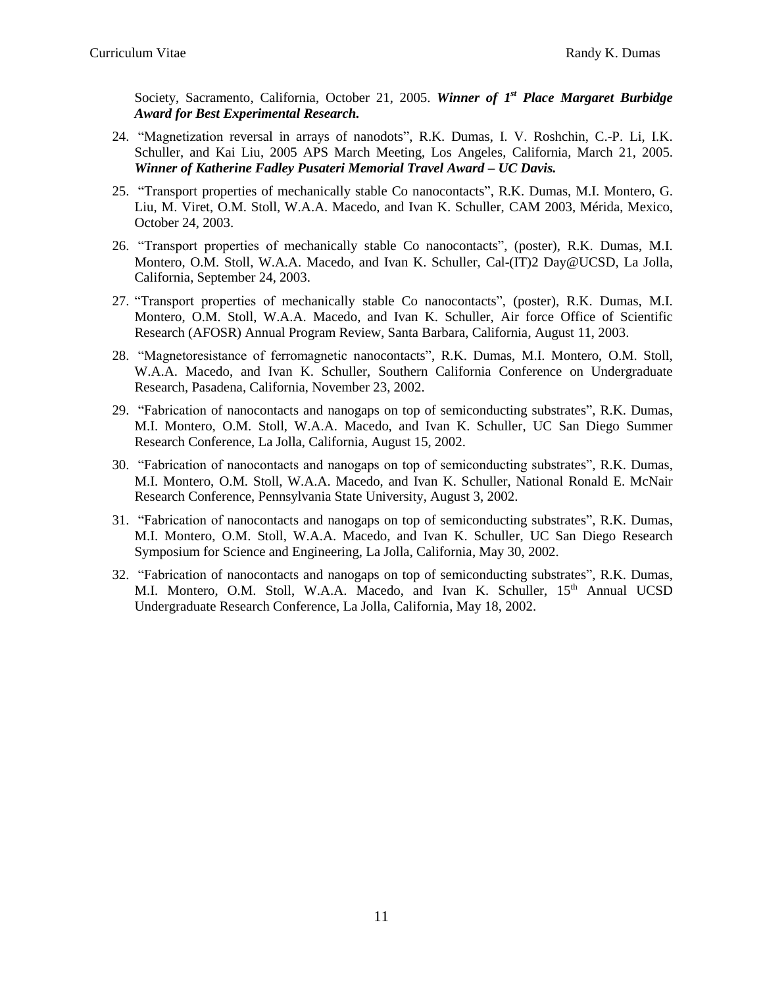Society, Sacramento, California, October 21, 2005. *Winner of 1<sup>st</sup> Place Margaret Burbidge Award for Best Experimental Research.*

- 24. "Magnetization reversal in arrays of nanodots", R.K. Dumas, I. V. Roshchin, C.-P. Li, I.K. Schuller, and Kai Liu, 2005 APS March Meeting, Los Angeles, California, March 21, 2005. *Winner of Katherine Fadley Pusateri Memorial Travel Award – UC Davis.*
- 25. "Transport properties of mechanically stable Co nanocontacts", R.K. Dumas, M.I. Montero, G. Liu, M. Viret, O.M. Stoll, W.A.A. Macedo, and Ivan K. Schuller, CAM 2003, Mérida, Mexico, October 24, 2003.
- 26. "Transport properties of mechanically stable Co nanocontacts", (poster), R.K. Dumas, M.I. Montero, O.M. Stoll, W.A.A. Macedo, and Ivan K. Schuller, Cal-(IT)2 Day@UCSD, La Jolla, California, September 24, 2003.
- 27. "Transport properties of mechanically stable Co nanocontacts", (poster), R.K. Dumas, M.I. Montero, O.M. Stoll, W.A.A. Macedo, and Ivan K. Schuller, Air force Office of Scientific Research (AFOSR) Annual Program Review, Santa Barbara, California, August 11, 2003.
- 28. "Magnetoresistance of ferromagnetic nanocontacts", R.K. Dumas, M.I. Montero, O.M. Stoll, W.A.A. Macedo, and Ivan K. Schuller, Southern California Conference on Undergraduate Research, Pasadena, California, November 23, 2002.
- 29. "Fabrication of nanocontacts and nanogaps on top of semiconducting substrates", R.K. Dumas, M.I. Montero, O.M. Stoll, W.A.A. Macedo, and Ivan K. Schuller, UC San Diego Summer Research Conference, La Jolla, California, August 15, 2002.
- 30. "Fabrication of nanocontacts and nanogaps on top of semiconducting substrates", R.K. Dumas, M.I. Montero, O.M. Stoll, W.A.A. Macedo, and Ivan K. Schuller, National Ronald E. McNair Research Conference, Pennsylvania State University, August 3, 2002.
- 31. "Fabrication of nanocontacts and nanogaps on top of semiconducting substrates", R.K. Dumas, M.I. Montero, O.M. Stoll, W.A.A. Macedo, and Ivan K. Schuller, UC San Diego Research Symposium for Science and Engineering, La Jolla, California, May 30, 2002.
- 32. "Fabrication of nanocontacts and nanogaps on top of semiconducting substrates", R.K. Dumas, M.I. Montero, O.M. Stoll, W.A.A. Macedo, and Ivan K. Schuller, 15<sup>th</sup> Annual UCSD Undergraduate Research Conference, La Jolla, California, May 18, 2002.